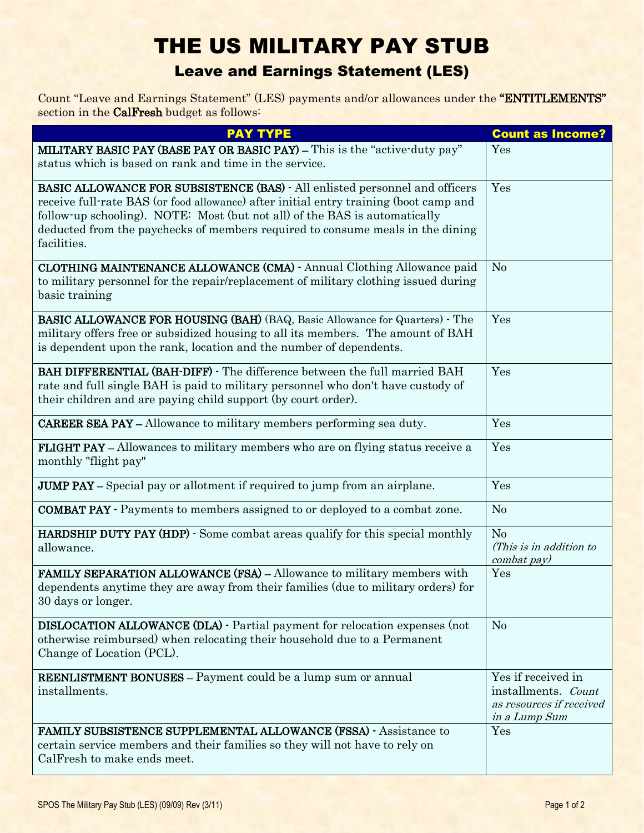## THE US MILITARY PAY STUB Leave and Earnings Statement (LES)

Count "Leave and Earnings Statement" (LES) payments and/or allowances under the "ENTITLEMENTS" section in the CalFresh budget as follows:

| <b>PAY TYPE</b>                                                                                                                                                                                                                                                                                                                                            | <b>Count as Income?</b>                                                                |
|------------------------------------------------------------------------------------------------------------------------------------------------------------------------------------------------------------------------------------------------------------------------------------------------------------------------------------------------------------|----------------------------------------------------------------------------------------|
| <b>MILITARY BASIC PAY (BASE PAY OR BASIC PAY)</b> – This is the "active-duty pay"<br>status which is based on rank and time in the service.                                                                                                                                                                                                                | Yes                                                                                    |
| <b>BASIC ALLOWANCE FOR SUBSISTENCE (BAS) - All enlisted personnel and officers</b><br>receive full-rate BAS (or food allowance) after initial entry training (boot camp and<br>follow-up schooling). NOTE: Most (but not all) of the BAS is automatically<br>deducted from the paychecks of members required to consume meals in the dining<br>facilities. | Yes                                                                                    |
| CLOTHING MAINTENANCE ALLOWANCE (CMA) - Annual Clothing Allowance paid<br>to military personnel for the repair/replacement of military clothing issued during<br>basic training                                                                                                                                                                             | N <sub>o</sub>                                                                         |
| <b>BASIC ALLOWANCE FOR HOUSING (BAH)</b> (BAQ, Basic Allowance for Quarters) - The<br>military offers free or subsidized housing to all its members. The amount of BAH<br>is dependent upon the rank, location and the number of dependents.                                                                                                               | Yes                                                                                    |
| <b>BAH DIFFERENTIAL (BAH-DIFF)</b> - The difference between the full married BAH<br>rate and full single BAH is paid to military personnel who don't have custody of<br>their children and are paying child support (by court order).                                                                                                                      | Yes                                                                                    |
| <b>CAREER SEA PAY – Allowance to military members performing sea duty.</b>                                                                                                                                                                                                                                                                                 | Yes                                                                                    |
| <b>FLIGHT PAY -</b> Allowances to military members who are on flying status receive a<br>monthly "flight pay"                                                                                                                                                                                                                                              | Yes                                                                                    |
| <b>JUMP PAY</b> – Special pay or allotment if required to jump from an airplane.                                                                                                                                                                                                                                                                           | Yes                                                                                    |
| <b>COMBAT PAY -</b> Payments to members assigned to or deployed to a combat zone.                                                                                                                                                                                                                                                                          | N <sub>o</sub>                                                                         |
| <b>HARDSHIP DUTY PAY (HDP)</b> · Some combat areas qualify for this special monthly<br>allowance.                                                                                                                                                                                                                                                          | No<br>(This is in addition to<br>combat pay)                                           |
| FAMILY SEPARATION ALLOWANCE (FSA) - Allowance to military members with<br>dependents anytime they are away from their families (due to military orders) for<br>30 days or longer.                                                                                                                                                                          | Yes                                                                                    |
| <b>DISLOCATION ALLOWANCE (DLA)</b> - Partial payment for relocation expenses (not<br>otherwise reimbursed) when relocating their household due to a Permanent<br>Change of Location (PCL).                                                                                                                                                                 | N <sub>o</sub>                                                                         |
| <b>REENLISTMENT BONUSES - Payment could be a lump sum or annual</b><br>installments.                                                                                                                                                                                                                                                                       | Yes if received in<br>installments. Count<br>as resources if received<br>in a Lump Sum |
| <b>FAMILY SUBSISTENCE SUPPLEMENTAL ALLOWANCE (FSSA) - Assistance to</b><br>certain service members and their families so they will not have to rely on<br>CalFresh to make ends meet.                                                                                                                                                                      | Yes                                                                                    |